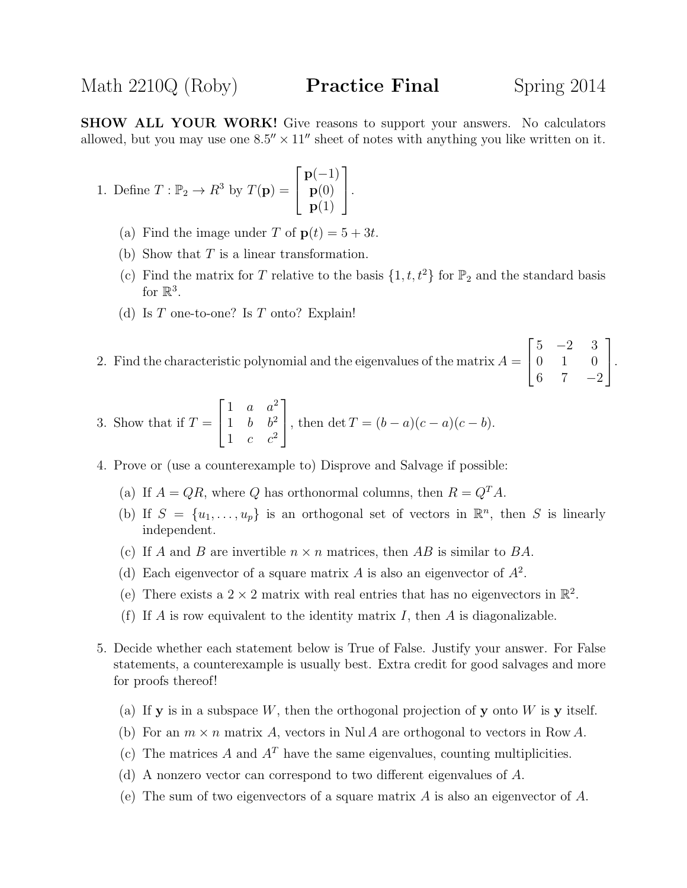SHOW ALL YOUR WORK! Give reasons to support your answers. No calculators allowed, but you may use one  $8.5'' \times 11''$  sheet of notes with anything you like written on it.

1. Define 
$$
T : \mathbb{P}_2 \to R^3
$$
 by  $T(\mathbf{p}) = \begin{bmatrix} \mathbf{p}(-1) \\ \mathbf{p}(0) \\ \mathbf{p}(1) \end{bmatrix}$ .

- (a) Find the image under T of  $p(t) = 5 + 3t$ .
- (b) Show that  $T$  is a linear transformation.
- (c) Find the matrix for T relative to the basis  $\{1, t, t^2\}$  for  $\mathbb{P}_2$  and the standard basis for  $\mathbb{R}^3$ .
- (d) Is  $T$  one-to-one? Is  $T$  onto? Explain!

2. Find the characteristic polynomial and the eigenvalues of the matrix  $A =$  $\sqrt{ }$  $\overline{1}$  $5 -2 3$ 0 1 0 6 7  $-2$ 1  $\vert \cdot$ 

3. Show that if 
$$
T = \begin{bmatrix} 1 & a & a^2 \\ 1 & b & b^2 \\ 1 & c & c^2 \end{bmatrix}
$$
, then  $\det T = (b - a)(c - a)(c - b)$ .

- 4. Prove or (use a counterexample to) Disprove and Salvage if possible:
	- (a) If  $A = QR$ , where Q has orthonormal columns, then  $R = Q^T A$ .
	- (b) If  $S = \{u_1, \ldots, u_p\}$  is an orthogonal set of vectors in  $\mathbb{R}^n$ , then S is linearly independent.
	- (c) If A and B are invertible  $n \times n$  matrices, then AB is similar to BA.
	- (d) Each eigenvector of a square matrix A is also an eigenvector of  $A^2$ .
	- (e) There exists a  $2 \times 2$  matrix with real entries that has no eigenvectors in  $\mathbb{R}^2$ .
	- (f) If A is row equivalent to the identity matrix  $I$ , then A is diagonalizable.
- 5. Decide whether each statement below is True of False. Justify your answer. For False statements, a counterexample is usually best. Extra credit for good salvages and more for proofs thereof!
	- (a) If **y** is in a subspace W, then the orthogonal projection of **y** onto W is **y** itself.
	- (b) For an  $m \times n$  matrix A, vectors in Nul A are orthogonal to vectors in Row A.
	- (c) The matrices A and  $A<sup>T</sup>$  have the same eigenvalues, counting multiplicities.
	- (d) A nonzero vector can correspond to two different eigenvalues of A.
	- (e) The sum of two eigenvectors of a square matrix  $A$  is also an eigenvector of  $A$ .